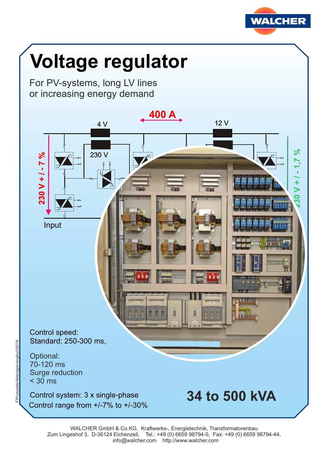

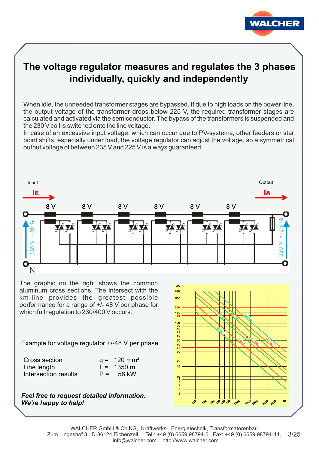

## **The voltage regulator measures and regulates the 3 phases individually, quickly and independently**

When idle, the unneeded transformer stages are bypassed. If due to high loads on the power line, the output voltage of the transformer drops below 225 V, the required transformer stages are calculated and activated via the semiconductor. The bypass of the transformers is suspended and the 230 V coil is switched onto the line voltage.

In case of an excessive input voltage, which can occur due to PV-systems, other feeders or star point shifts, especially under load, the voltage regulator can adjust the voltage, so a symmetrical output voltage of between 235 V and 225 V is always guaranteed.



The graphic on the right shows the common aluminum cross sections. The intersect with the km-line provides the greatest possible performance for a range of +/- 48 V per phase for which full regulation to 230/400 V occurs.

Example for voltage regulator +/-48 V per phase

| Cross section        | $q = 120$ mm <sup>2</sup> |
|----------------------|---------------------------|
| Line length          | $1 = 1350 \text{ m}$      |
| Intersection results | $P = 58$ kW               |

*Feel free to request detailed information. We're happy to help!*

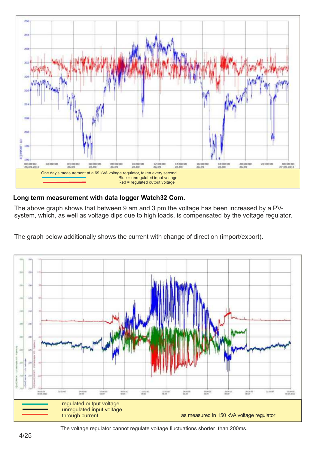

### **Long term measurement with data logger Watch32 Com.**

The above graph shows that between 9 am and 3 pm the voltage has been increased by a PVsystem, which, as well as voltage dips due to high loads, is compensated by the voltage regulator.

The graph below additionally shows the current with change of direction (import/export).

![](_page_3_Figure_4.jpeg)

The voltage regulator cannot regulate voltage fluctuations shorter than 200ms.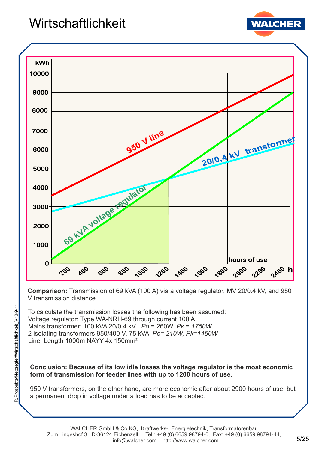# **Wirtschaftlichkeit**

![](_page_4_Picture_1.jpeg)

![](_page_4_Figure_2.jpeg)

**Comparison:** Transmission of 69 kVA (100 A) via a voltage regulator, MV 20/0.4 kV, and 950 V transmission distance

To calculate the transmission losses the following has been assumed: Voltage regulator: Type WA-NRH-69 through current 100 A Mains transformer: 100 kVA 20/0.4 kV, *Po* = 260W, *Pk* = *1750W* 2 isolating transformers 950/400 V, 75 kVA *Po= 210W, Pk=1450W* Line: Length 1000m NAYY 4x 150mm²

### **Conclusion: Because of its low idle losses the voltage regulator is the most economic form of transmission for feeder lines with up to 1200 hours of use**.

950 V transformers, on the other hand, are more economic after about 2900 hours of use, but a permanent drop in voltage under a load has to be accepted.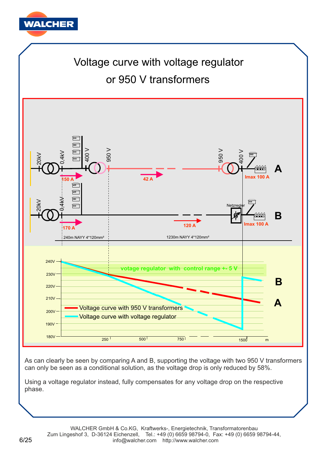![](_page_5_Picture_0.jpeg)

# Voltage curve with voltage regulator or 950 V transformers

![](_page_5_Figure_2.jpeg)

As can clearly be seen by comparing A and B, supporting the voltage with two 950 V transformers can only be seen as a conditional solution, as the voltage drop is only reduced by 58%.

Using a voltage regulator instead, fully compensates for any voltage drop on the respective phase.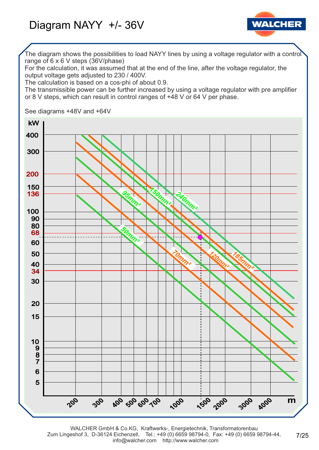![](_page_6_Picture_1.jpeg)

The diagram shows the possibilities to load NAYY lines by using a voltage regulator with a control range of 6 x 6 V steps (36V/phase)

For the calculation, it was assumed that at the end of the line, after the voltage regulator, the output voltage gets adjusted to 230 / 400V.

The calculation is based on a cos-phi of about 0.9.

The transmissible power can be further increased by using a voltage regulator with pre amplifier or 8 V steps, which can result in control ranges of +48 V or 64 V per phase.

See diagrams +48V and +64V

![](_page_6_Figure_7.jpeg)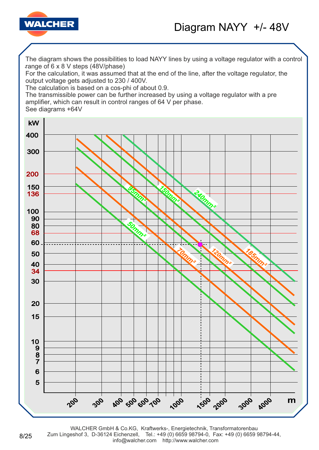![](_page_7_Picture_0.jpeg)

![](_page_7_Picture_1.jpeg)

. range of 6 x 8 V steps (48V/phase) The diagram shows the possibilities to load NAYY lines by using a voltage regulator with a control

For the calculation, it was assumed that at the end of the line, after the voltage regulator, the output voltage gets adjusted to 230 / 400V.

The calculation is based on a cos-phi of about 0.9.

The transmissible power can be further increased by using a voltage regulator with a pre amplifier, which can result in control ranges of 64 V per phase.

See diagrams +64V

8/25

![](_page_7_Figure_7.jpeg)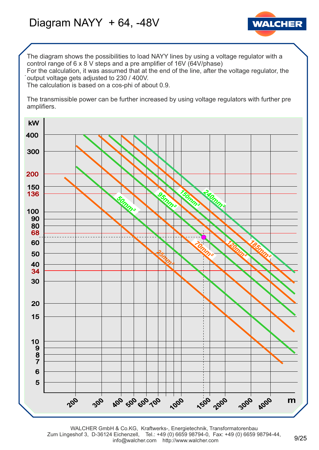# Diagram NAYY + 64, -48V

![](_page_8_Picture_1.jpeg)

The diagram shows the possibilities to load NAYY lines by using a voltage regulator with a control range of 6 x 8 V steps and a pre amplifier of 16V (64V/phase)

. output voltage gets adjusted to 230 / 400V. For the calculation, it was assumed that at the end of the line, after the voltage regulator, the

The calculation is based on a cos-phi of about 0.9.

The transmissible power can be further increased by using voltage regulators with further pre amplifiers.

![](_page_8_Figure_6.jpeg)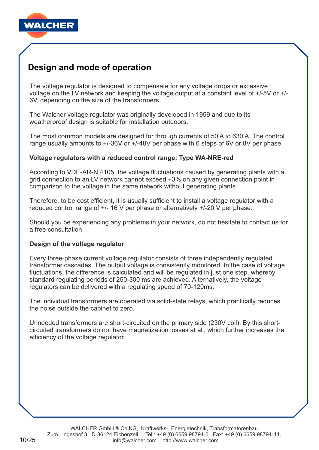![](_page_9_Picture_0.jpeg)

## **Design and mode of operation**

The voltage regulator is designed to compensate for any voltage drops or excessive voltage on the LV network and keeping the voltage output at a constant level of +/-5V or +/- 6V, depending on the size of the transformers.

The Walcher voltage regulator was originally developed in 1959 and due to its weatherproof design is suitable for installation outdoors.

The most common models are designed for through currents of 50 A to 630 A. The control range usually amounts to +/-36V or +/-48V per phase with 6 steps of 6V or 8V per phase.

### **Voltage regulators with a reduced control range: Type WA-NRE-red**

According to VDE-AR-N 4105, the voltage fluctuations caused by generating plants with a grid connection to an LV network cannot exceed +3% on any given connection point in comparison to the voltage in the same network without generating plants.

Therefore, to be cost efficient, it is usually sufficient to install a voltage regulator with a reduced control range of +/- 16 V per phase or alternatively +/-20 V per phase.

Should you be experiencing any problems in your network, do not hesitate to contact us for a free consultation.

### **Design of the voltage regulator**

Every three-phase current voltage regulator consists of three independently regulated transformer cascades. The output voltage is consistently monitored. In the case of voltage fluctuations, the difference is calculated and will be regulated in just one step, whereby standard regulating periods of 250-300 ms are achieved. Alternatively, the voltage regulators can be delivered with a regulating speed of 70-120ms.

The individual transformers are operated via solid-state relays, which practically reduces the noise outside the cabinet to zero.

Unneeded transformers are short-circuited on the primary side (230V coil). By this shortcircuited transformers do not have magnetization losses at all, which further increases the efficiency of the voltage regulator.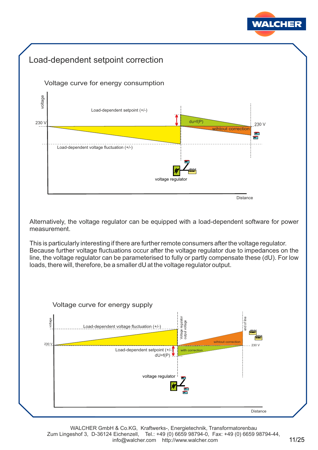![](_page_10_Picture_0.jpeg)

## Load-dependent setpoint correction

![](_page_10_Figure_2.jpeg)

![](_page_10_Figure_3.jpeg)

Alternatively, the voltage regulator can be equipped with a load-dependent software for power measurement.

This is particularly interesting if there are further remote consumers after the voltage regulator. Because further voltage fluctuations occur after the voltage regulator due to impedances on the line, the voltage regulator can be parameterised to fully or partly compensate these (dU). For low loads, there will, therefore, be a smaller dU at the voltage regulator output.

![](_page_10_Figure_6.jpeg)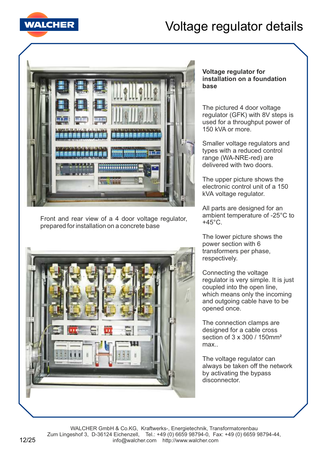![](_page_11_Picture_0.jpeg)

# Voltage regulator details

![](_page_11_Picture_2.jpeg)

Front and rear view of a 4 door voltage regulator, prepared for installation on a concrete base

![](_page_11_Picture_4.jpeg)

### **Voltage regulator for installation on a foundation base**

The pictured 4 door voltage regulator (GFK) with 8V steps is used for a throughput power of 150 kVA or more.

Smaller voltage regulators and types with a reduced control range (WA-NRE-red) are delivered with two doors.

The upper picture shows the electronic control unit of a 150 kVA voltage regulator.

All parts are designed for an ambient temperature of -25°C to  $+45^{\circ}$ C.

The lower picture shows the power section with 6 transformers per phase, respectively.

Connecting the voltage regulator is very simple. It is just coupled into the open line, which means only the incoming and outgoing cable have to be opened once.

The connection clamps are designed for a cable cross section of 3 x 300 / 150mm² max..

The voltage regulator can always be taken off the network by activating the bypass disconnector.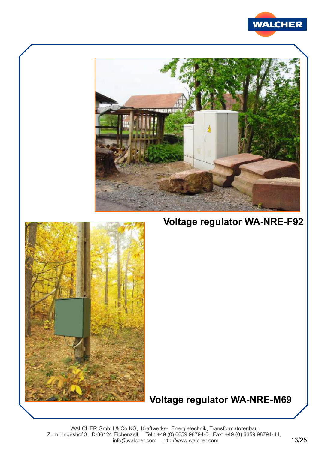![](_page_12_Picture_0.jpeg)

![](_page_12_Picture_1.jpeg)

**Voltage regulator WA-NRE-F92**

![](_page_12_Picture_3.jpeg)

## **Voltage regulator WA-NRE-M69**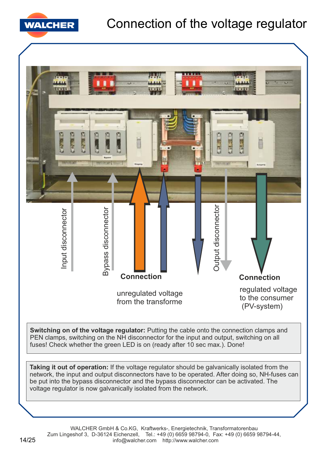![](_page_13_Picture_0.jpeg)

![](_page_13_Figure_2.jpeg)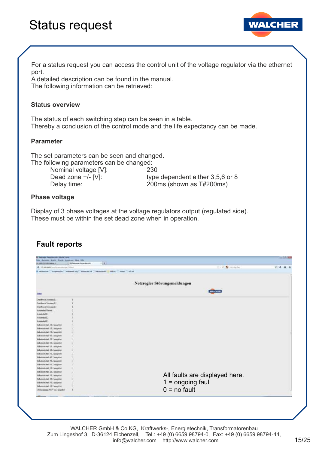# Status request

![](_page_14_Picture_1.jpeg)

For a status request you can access the control unit of the voltage regulator via the ethernet port.

A detailed description can be found in the manual. The following information can be retrieved:

#### **Status overview**

The status of each switching step can be seen in a table. Thereby a conclusion of the control mode and the life expectancy can be made.

#### **Parameter**

The set parameters can be seen and changed. The following parameters can be changed:

Nominal voltage [V]: 230

Dead zone +/- [V]: type dependent either 3,5,6 or 8 Delay time: 200ms (shown as T#200ms)

#### **Phase voltage**

Display of 3 phase voltages at the voltage regulators output (regulated side). These must be within the set dead zone when in operation.

### **Fault reports**

| @ IR MEMOU-Attacked and U.S.A.             | $7 + 1$                                      | OF C. BURSEAU                  | 1.4.4 |
|--------------------------------------------|----------------------------------------------|--------------------------------|-------|
| (8 Mediterrale Garagements   Watsorkin Kin | Martin AV 17 Marmonia M2 448303 Robert ALLAR |                                |       |
|                                            |                                              |                                |       |
|                                            |                                              |                                |       |
|                                            |                                              | Netzregler Störungsmeldungen   |       |
|                                            |                                              | <b>WALCHER</b>                 |       |
| <b>SMIN</b>                                |                                              |                                |       |
| Drakshead Monney L.L.                      |                                              |                                |       |
| Disksbeat Mercury L.J.                     |                                              |                                |       |
| Distributed Message L.9                    |                                              |                                |       |
| <b><i><u>Relative Editional</u></i></b>    |                                              |                                |       |
| Schulterfull [.]                           |                                              |                                |       |
| Scholarshill E.2                           |                                              |                                |       |
| Schulterfell L1                            |                                              |                                |       |
| Sidedosemal: 117 amplost                   |                                              |                                |       |
| Sidenbautrack-21.1 migribid                |                                              |                                |       |
| Sichesbetratute 3 L1 accepted              |                                              |                                |       |
| Sichedunivatals 4 L1 assessed              |                                              |                                |       |
| Sichebetratal: 513 asspitet                |                                              |                                |       |
| Sübebetrinde 613 anspiter                  |                                              |                                |       |
| Sidinbuitsmak 11.2 asspites                |                                              |                                |       |
| Sichidatestale 212 assassion               |                                              |                                |       |
| Scholatotal: 312 augstor                   |                                              |                                |       |
| Sickebakend: 412 angelost                  |                                              |                                |       |
| Scholysteral: 712 augston                  |                                              |                                |       |
| Schedutsingh 61.2 imagebot                 |                                              |                                |       |
| bichistumate 11.3 asspelost                |                                              |                                |       |
| Skhedustonak 21.1 seigebort                |                                              |                                |       |
| Nickerlocksmalt 3 L3 asseption             |                                              | All faults are displayed here. |       |
| <b>Tickedustungl: 41.1 augustor</b>        |                                              |                                |       |
| lidebatomic 5 L1 muntor                    |                                              | $1 =$ ongoing faul             |       |
| Tacketokunal: 61.1 accuricos               |                                              |                                |       |
| Derspanning ARW AC singelist               |                                              | $0 = no$ fault                 |       |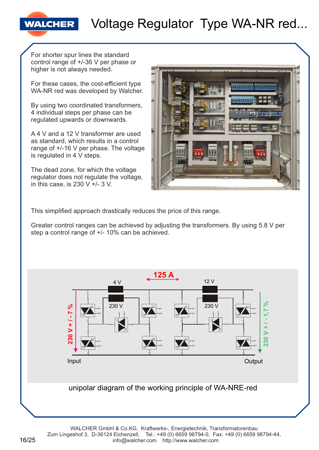# Voltage Regulator Type WA-NR red...

For shorter spur lines the standard control range of +/-36 V per phase or higher is not always needed.

**WALCHER** 

For these cases, the cost-efficient type WA-NR red was developed by Walcher.

By using two coordinated transformers, 4 individual steps per phase can be regulated upwards or downwards.

A 4 V and a 12 V transformer are used as standard, which results in a control range of +/-16 V per phase. The voltage is regulated in 4 V steps.

The dead zone, for which the voltage regulator does not regulate the voltage, in this case, is  $230$  V  $+/- 3$  V.

![](_page_15_Picture_6.jpeg)

This simplified approach drastically reduces the price of this range.

Greater control ranges can be achieved by adjusting the transformers. By using 5.8 V per step a control range of +/- 10% can be achieved.

![](_page_15_Figure_9.jpeg)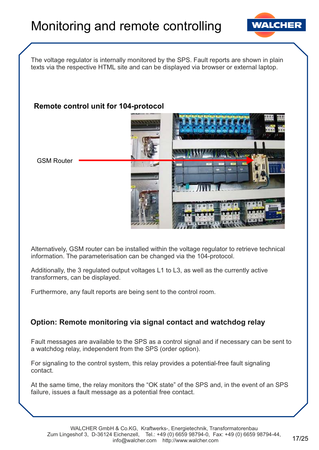![](_page_16_Picture_1.jpeg)

The voltage regulator is internally monitored by the SPS. Fault reports are shown in plain texts via the respective HTML site and can be displayed via browser or external laptop.

### **Remote control unit for 104-protocol**

![](_page_16_Picture_4.jpeg)

Alternatively, GSM router can be installed within the voltage regulator to retrieve technical information. The parameterisation can be changed via the 104-protocol.

Additionally, the 3 regulated output voltages L1 to L3, as well as the currently active transformers, can be displayed.

Furthermore, any fault reports are being sent to the control room.

### **Option: Remote monitoring via signal contact and watchdog relay**

Fault messages are available to the SPS as a control signal and if necessary can be sent to a watchdog relay, independent from the SPS (order option).

For signaling to the control system, this relay provides a potential-free fault signaling contact.

At the same time, the relay monitors the "OK state" of the SPS and, in the event of an SPS failure, issues a fault message as a potential free contact.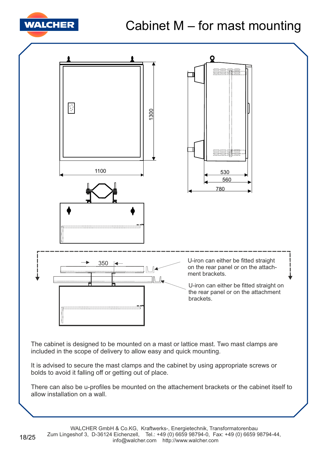![](_page_17_Picture_0.jpeg)

# Cabinet M – for mast mounting

![](_page_17_Figure_2.jpeg)

The cabinet is designed to be mounted on a mast or lattice mast. Two mast clamps are included in the scope of delivery to allow easy and quick mounting.

It is advised to secure the mast clamps and the cabinet by using appropriate screws or bolds to avoid it falling off or getting out of place.

There can also be u-profiles be mounted on the attachement brackets or the cabinet itself to allow installation on a wall.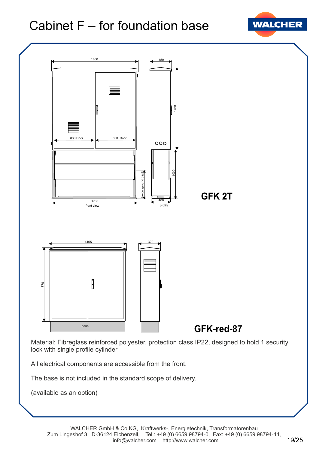# Cabinet F – for foundation base

![](_page_18_Picture_1.jpeg)

![](_page_18_Figure_2.jpeg)

Material: Fibreglass reinforced polyester, protection class IP22, designed to hold 1 security lock with single profile cylinder

All electrical components are accessible from the front.

The base is not included in the standard scope of delivery.

(available as an option)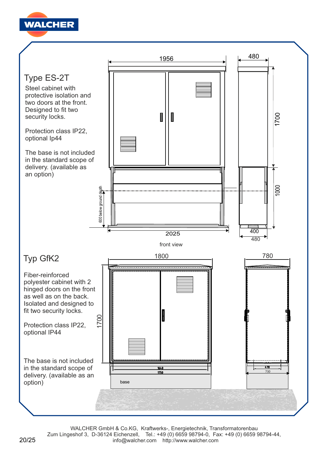![](_page_19_Picture_0.jpeg)

![](_page_19_Figure_1.jpeg)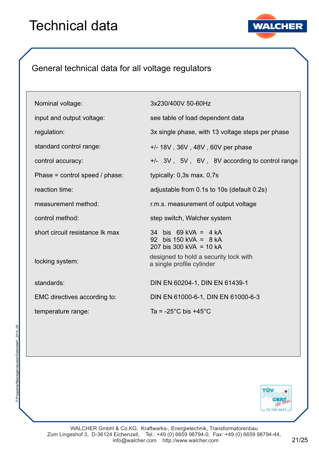# Technical data

![](_page_20_Picture_1.jpeg)

## General technical data for all voltage regulators

| Nominal voltage:                 | 3x230/400V 50-60Hz                                                           |
|----------------------------------|------------------------------------------------------------------------------|
| input and output voltage:        | see table of load dependent data                                             |
| regulation:                      | 3x single phase, with 13 voltage steps per phase                             |
| standard control range:          | $+/- 18V$ , 36V, 48V, 60V per phase                                          |
| control accuracy:                | +/- 3V, 5V, 6V, 8V according to control range                                |
| Phase = control speed $/$ phase: | typically: 0,3s max. 0,7s                                                    |
| reaction time:                   | adjustable from 0.1s to 10s (default 0.2s)                                   |
| measurement method:              | r.m.s. measurement of output voltage                                         |
| control method:                  | step switch, Walcher system                                                  |
| short circuit resistance Ik max  | 34 bis $69$ kVA = 4 kA<br>92 bis 150 kVA = $8$ kA<br>207 bis 300 kVA = 10 kA |
| locking system:                  | designed to hold a security lock with<br>a single profile cylinder           |
| standards:                       | DIN EN 60204-1, DIN EN 61439-1                                               |
| EMC directives according to:     | DIN EN 61000-6-1, DIN EN 61000-6-3                                           |
| temperature range:               | Ta = $-25^{\circ}$ C bis $+45^{\circ}$ C                                     |

![](_page_20_Picture_5.jpeg)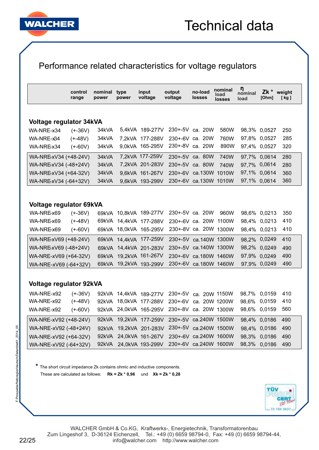![](_page_21_Picture_0.jpeg)

## Performance related characteristics for voltage regulators

|                         | control<br>range | nominal<br>power  | type<br>power | input<br>voltage  | output<br>voltage | no-load<br><b>losses</b> | nominal<br><b>load</b><br>losses | η<br>nominal<br>load | Zk *<br>[Ohm] | weight<br>[kg] |
|-------------------------|------------------|-------------------|---------------|-------------------|-------------------|--------------------------|----------------------------------|----------------------|---------------|----------------|
|                         |                  |                   |               |                   |                   |                          |                                  |                      |               |                |
| Voltage regulator 34kVA |                  |                   |               |                   |                   |                          |                                  |                      |               |                |
| WA-NRE-x34              | $(+-36V)$        | 34kVA             |               | 5.4 kVA 189-277 V | $230 + -5V$       | ca. $20W$                | 580W                             |                      | 98,3% 0,0527  | 250            |
| WA-NRE-x34              | (+-48V)          | 34kVA             | 7.2kVA        | 177-288V          |                   | 230+-6V ca. 20W          | 760W                             |                      | 97,8% 0,0527  | 285            |
| WA-NRE-x34              | $(+-60V)$        | 34kVA             | 9.0kVA        | 165-295V          | $230 + -8V$       | ca. 20W                  | 890W                             |                      | 97,4% 0,0527  | 320            |
| WA-NRE-xV34 (+48-24V)   |                  | 34kVA             |               | 7,2kVA 177-259V   | $230 + -5V$       | ca. 80W                  | 740W                             |                      | 97,7% 0,0614  | 280            |
| WA-NRE-xV34 (-48+24V)   |                  | 34 <sub>kVA</sub> |               | 7,2kVA 201-283V   | $230 + -5V$       | ca. 80W                  | 740W                             |                      | 97,7% 0,0614  | 280            |
| WA-NRE-xV34 (+64-32V)   |                  | 34 <sub>kVA</sub> |               | 9.6kVA 161-267V   | $230 + -6V$       | ca.130W                  | 1010W                            |                      | 97,1% 0,0614  | 360            |
| WA-NRE-xV34 (-64+32V)   |                  | 34 <sub>kVA</sub> |               | 9.6kVA 193-299V   |                   | 230+-6V ca.130W 1010W    |                                  |                      | 97,1% 0,0614  | 360            |

### **Voltage regulator 69kVA**

| WA-NRE-x69            | $(+-36V)$ |       | 69kVA 10,8kVA 189-277V 230+-5V ca. 20W       |                       | 960W  | 98,6% 0,0213 | - 350 |
|-----------------------|-----------|-------|----------------------------------------------|-----------------------|-------|--------------|-------|
| WA-NRE-x69            | $(+48V)$  |       | 69kVA 14,4kVA 177-288V                       | 230+-6V ca. 20W       | 1100W | 98,4% 0,0213 | 410   |
| WA-NRE-x69            | $(+-60V)$ |       | 69kVA 18,0kVA 165-295V 230+-8V ca. 20W 1300W |                       |       | 98,4% 0,0213 | 410   |
| WA-NRE-xV69 (+48-24V) |           |       | 69kVA 14,4kVA 177-259V                       | 230+-5V ca.140W 1300W |       | 98,2% 0,0249 | - 410 |
| WA-NRE-xV69 (-48+24V) |           |       | 69kVA 14,4kVA 201-283V                       | 230+-5V ca.140W 1300W |       | 98,2% 0,0249 | 490   |
| WA-NRE-xV69 (+64-32V) |           | 69kVA | 19,2kVA 161-267V                             | 230+-6V ca.180W 1460W |       | 97,9% 0,0249 | 490   |
| WA-NRE-xV69 (-64+32V) |           |       | 69kVA 19,2kVA 193-299V                       | 230+-6V ca.180W 1460W |       | 97,9% 0,0249 | 490   |

### **Voltage regulator 92kVA**

| WA-NRE-x92            | $(+-36V)$ |  | 92kVA 14,4kVA 189-277V 230+-5V ca. 20W 1150W |  |              | 98.7% 0.0159     | 410 |
|-----------------------|-----------|--|----------------------------------------------|--|--------------|------------------|-----|
| WA-NRE-x92            | $(+-48V)$ |  | 92kVA 18,0kVA 177-288V 230+-6V ca. 20W 1200W |  | 98,6% 0,0159 |                  | 410 |
| WA-NRE-x92            | $(+-60V)$ |  | 92kVA 24,0kVA 165-295V 230+-8V ca. 20W 1300W |  |              | 98,6% 0,0159     | 560 |
| WA-NRE-xV92 (+48-24V) |           |  | 92kVA 19,2kVA 177-259V 230+-5V ca.240W 1500W |  |              | 98,4% 0,0186 490 |     |
| WA-NRE-xV92 (-48+24V) |           |  | 92kVA 19,2kVA 201-283V 230+-5V ca.240W 1500W |  |              | 98,4% 0,0186 490 |     |
| WA-NRE-xV92 (+64-32V) |           |  | 92kVA 24,0kVA 161-267V 230+-6V ca.240W 1600W |  |              | 98,3% 0,0186     | 490 |
| WA-NRE-xV92 (-64+32V) |           |  | 92kVA 24,0kVA 193-299V 230+-6V ca.240W 1600W |  |              | 98,3% 0,0186 490 |     |

**\*** The short circuit impedance Zk contains ohmic and inductive components. These are calculated as follows: **Rk = Zk \* 0,96** und **Xk = Zk \* 0,28**

![](_page_21_Picture_9.jpeg)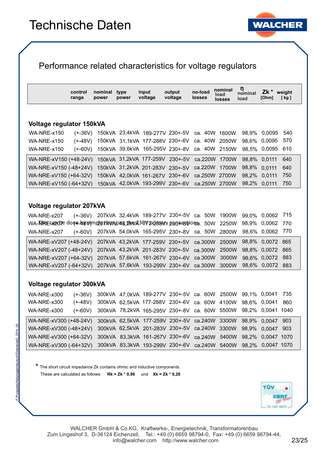![](_page_22_Picture_1.jpeg)

### Performance related characteristics for voltage regulators

|                                 | control<br>range | nominal<br>power | type<br>power | input<br>voltage | output<br>voltage                             | no-load<br><b>losses</b> | nominal<br>load<br>losses | ŋ<br>nominal<br>load | Zk *<br>[Ohm] | weight<br>[kg] |
|---------------------------------|------------------|------------------|---------------|------------------|-----------------------------------------------|--------------------------|---------------------------|----------------------|---------------|----------------|
|                                 |                  |                  |               |                  |                                               |                          |                           |                      |               |                |
| <b>Voltage regulator 150kVA</b> |                  |                  |               |                  |                                               |                          |                           |                      |               |                |
| <b>WA-NRE-x150</b>              | (+-36V).         |                  |               |                  | 150kVA 23,4kVA 189-277V 230+-5V               | ca. 40W                  | 1600W                     | 98,9%                | 0.0095        | 540            |
| <b>WA-NRE-x150</b>              | (+-48V)          |                  |               |                  | 150kVA 31,1kVA 177-288V 230+-6V ca. 40W 2050W |                          |                           |                      | 98.6% 0.0095  | 570            |
| <b>WA-NRE-x150</b>              | (+-60V)          |                  |               |                  | 150kVA 39,6kVA 165-295V 230+-8V ca. 40W 2150W |                          |                           |                      | 98,5% 0,0095  | 610            |
| WA-NRE-xV150 (+48-24V)          |                  |                  |               |                  | 150kVA 31,2kVA 177-259V 230+-5V ca.220W       |                          | 1700W                     |                      | 98,8% 0,0111  | 640            |
| WA-NRE-xV150 (-48+24V)          |                  |                  |               |                  | 150kVA 31,2kVA 201-283V 230+-5V ca.220W       |                          | 1700W                     |                      | 98,8% 0,0111  | 640            |
| WA-NRE-xV150 (+64-32V)          |                  |                  |               |                  | 150kVA 42,0kVA 161-267V 230+-6V               |                          | ca.250W 2700W             | 98.2%                | 0,0111        | 750            |
| WA-NRE-xV150 (-64+32V)          |                  |                  |               |                  | 150kVA 42,0kVA 193-299V 230+-6V ca.250W 2700W |                          |                           |                      | 98,2% 0,0111  | 750            |

#### **Voltage regulator 207kVA**

WA-NRE-x207 WA-NRE-xV207 (+48-24V) 207kVA 43,2kVA 177-259V 230+-5V ca.300W 2500W WA-**T\MEC&20OPE done h8vimply changing,bre/230V primary 290#48tions. 50W** 2250W WA-NRE-xV207 (-48+24V) 207kVA ca.300W 43,2kVA 201-283V 230+-5V WA-NRE-x207 (+-60V) WA-NRE-xV207 (+64-32V) 207kVA 57,6kVA 161-267V 230+-6V ca.300W 3000W WA-NRE-xV207 (-64+32V) 207kVA 57,6kVA 193-299V 230+-6V ca.300W 3000W 207kVA 32,4kVA 189-277V 230+-5V ca. 50W 1900W 99,0% 0,0062 715 207kVA ca. 50W 54,0kVA 165-295V 230+-8V 98,8% 865 0,0072 2500W 98,9% 770 0,0062 98,8% 865 0,0072 2800W 98,6% 770 0,0062 98,6% 883 0,0072 98,6% 883 0,0072

### **Voltage regulator 300kVA**

WA-NRE-x300 (+-36V) WA-NRE-xV300 (+48-24V) WA-NRE-x300 (+-48V) WA-NRE-xV300 (-48+24V) 300kVA  62,5kVA 201-283V 230+-5V ca.240W 3300W WA-NRE-x300 (+-60V) WA-NRE-xV300 (+64-32V) 300kVA 83,3kVA 161-267V 230+-6V ca.240W 5400W 98,2% 0,0047 1070 WA-NRE-xV300 (-64+32V) 300kVA 83,3kVA 193-299V 230+-6V ca.240W 5400W 98,2% 0,0047 1070 300kVA 47,0kVA 189-277V 230+-5V ca. 60W 2500W 99,1% 0,0041 735 300kVA 62,5kVA 177-259V 230+-5V ca.240W 300kVA 62,5kVA 177-288V 230+-6V ca. 60W 4100W 98,6% 0,0041 860 300kVA ca. 60W 78,2kVA 165-295V 230+-8V 3300W 98,9% 0,0047 903 98,9% 0,0047 903 5500W 98,2% 1040 0,0041

**\*** The short circuit impedance Zk contains ohmic and inductive components. These are calculated as follows: **Rk = Zk \* 0,96** und **Xk = Zk \* 0,28**

![](_page_22_Picture_9.jpeg)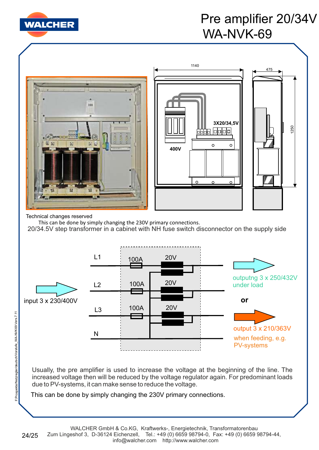![](_page_23_Picture_0.jpeg)

# Pre amplifier 20/34V WA-NVK-69

![](_page_23_Figure_2.jpeg)

Usually, the pre amplifier is used to increase the voltage at the beginning of the line. The increased voltage then will be reduced by the voltage regulator again. For predominant loads due to PV-systems, it can make sense to reduce the voltage.

This can be done by simply changing the 230V primary connections.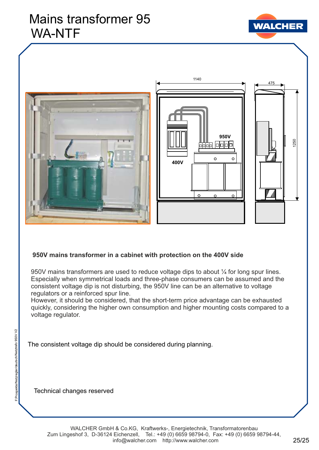# Mains transformer 95 WA-NTF

![](_page_24_Picture_1.jpeg)

![](_page_24_Picture_2.jpeg)

![](_page_24_Figure_3.jpeg)

1140

![](_page_24_Figure_4.jpeg)

### **950V mains transformer in a cabinet with protection on the 400V side**

950V mains transformers are used to reduce voltage dips to about  $\frac{1}{4}$  for long spur lines. Especially when symmetrical loads and three-phase consumers can be assumed and the consistent voltage dip is not disturbing, the 950V line can be an alternative to voltage regulators or a reinforced spur line.

However, it should be considered, that the short-term price advantage can be exhausted quickly, considering the higher own consumption and higher mounting costs compared to a voltage regulator.

The consistent voltage dip should be considered during planning.

Technical changes reserved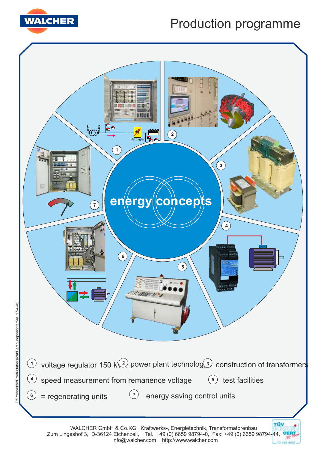![](_page_25_Picture_0.jpeg)

# Production programme

![](_page_25_Figure_2.jpeg)